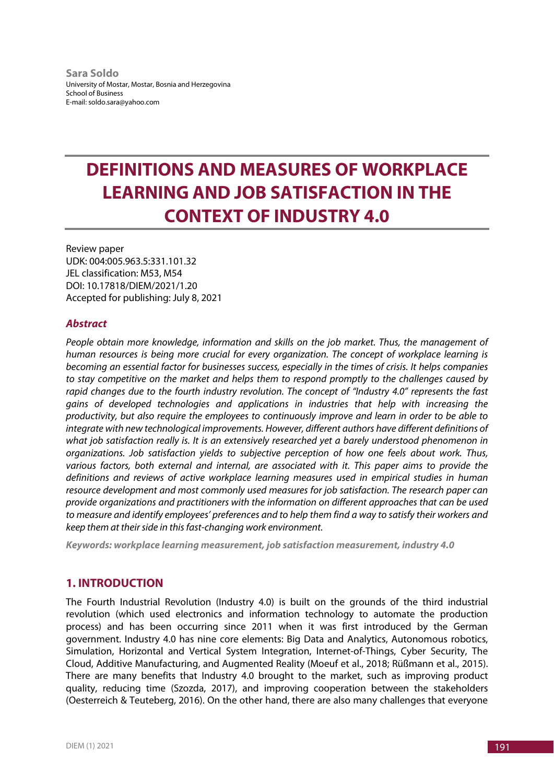**Sara Soldo** University of Mostar, Mostar, Bosnia and Herzegovina School of Business E-mail: soldo.sara@yahoo.com

# **DEFINITIONS AND MEASURES OF WORKPLACE LEARNING AND JOB SATISFACTION IN THE CONTEXT OF INDUSTRY 4.0**

Review paper UDK: 004:005.963.5:331.101.32 JEL classification: M53, M54 DOI: 10.17818/DIEM/2021/1.20 Accepted for publishing: July 8, 2021

#### *Abstract*

*People obtain more knowledge, information and skills on the job market. Thus, the management of human resources is being more crucial for every organization. The concept of workplace learning is becoming an essential factor for businesses success, especially in the times of crisis. It helps companies to stay competitive on the market and helps them to respond promptly to the challenges caused by rapid changes due to the fourth industry revolution. The concept of "Industry 4.0" represents the fast gains of developed technologies and applications in industries that help with increasing the productivity, but also require the employees to continuously improve and learn in order to be able to integrate with new technological improvements. However, different authors have different definitions of what job satisfaction really is. It is an extensively researched yet a barely understood phenomenon in organizations. Job satisfaction yields to subjective perception of how one feels about work. Thus, various factors, both external and internal, are associated with it. This paper aims to provide the definitions and reviews of active workplace learning measures used in empirical studies in human resource development and most commonly used measures for job satisfaction. The research paper can provide organizations and practitioners with the information on different approaches that can be used to measure and identify employees' preferences and to help them find a way to satisfy their workers and keep them at their side in this fast-changing work environment.* 

*Keywords: workplace learning measurement, job satisfaction measurement, industry 4.0* 

# **1. INTRODUCTION**

The Fourth Industrial Revolution (Industry 4.0) is built on the grounds of the third industrial revolution (which used electronics and information technology to automate the production process) and has been occurring since 2011 when it was first introduced by the German government. Industry 4.0 has nine core elements: Big Data and Analytics, Autonomous robotics, Simulation, Horizontal and Vertical System Integration, Internet-of-Things, Cyber Security, The Cloud, Additive Manufacturing, and Augmented Reality (Moeuf et al., 2018; Rüßmann et al., 2015). There are many benefits that Industry 4.0 brought to the market, such as improving product quality, reducing time (Szozda, 2017), and improving cooperation between the stakeholders (Oesterreich & Teuteberg, 2016). On the other hand, there are also many challenges that everyone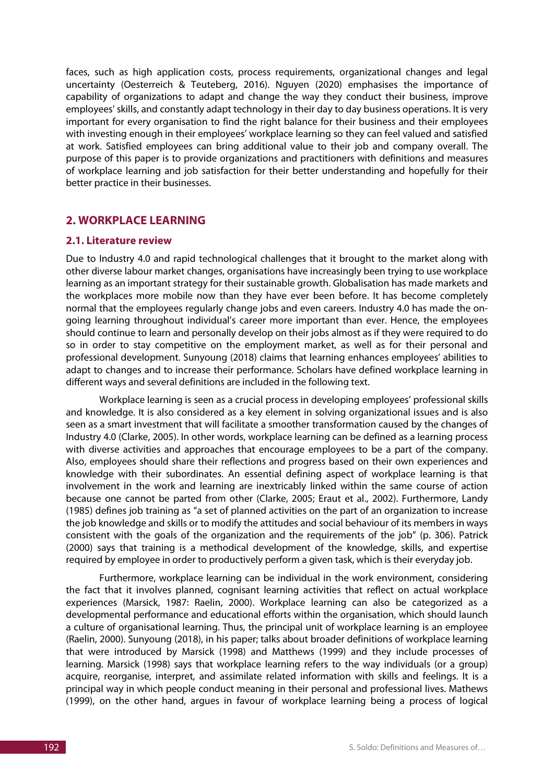faces, such as high application costs, process requirements, organizational changes and legal uncertainty (Oesterreich & Teuteberg, 2016). Nguyen (2020) emphasises the importance of capability of organizations to adapt and change the way they conduct their business, improve employees' skills, and constantly adapt technology in their day to day business operations. It is very important for every organisation to find the right balance for their business and their employees with investing enough in their employees' workplace learning so they can feel valued and satisfied at work. Satisfied employees can bring additional value to their job and company overall. The purpose of this paper is to provide organizations and practitioners with definitions and measures of workplace learning and job satisfaction for their better understanding and hopefully for their better practice in their businesses.

#### **2. WORKPLACE LEARNING**

#### **2.1. Literature review**

Due to Industry 4.0 and rapid technological challenges that it brought to the market along with other diverse labour market changes, organisations have increasingly been trying to use workplace learning as an important strategy for their sustainable growth. Globalisation has made markets and the workplaces more mobile now than they have ever been before. It has become completely normal that the employees regularly change jobs and even careers. Industry 4.0 has made the ongoing learning throughout individual's career more important than ever. Hence, the employees should continue to learn and personally develop on their jobs almost as if they were required to do so in order to stay competitive on the employment market, as well as for their personal and professional development. Sunyoung (2018) claims that learning enhances employees' abilities to adapt to changes and to increase their performance. Scholars have defined workplace learning in different ways and several definitions are included in the following text.

Workplace learning is seen as a crucial process in developing employees' professional skills and knowledge. It is also considered as a key element in solving organizational issues and is also seen as a smart investment that will facilitate a smoother transformation caused by the changes of Industry 4.0 (Clarke, 2005). In other words, workplace learning can be defined as a learning process with diverse activities and approaches that encourage employees to be a part of the company. Also, employees should share their reflections and progress based on their own experiences and knowledge with their subordinates. An essential defining aspect of workplace learning is that involvement in the work and learning are inextricably linked within the same course of action because one cannot be parted from other (Clarke, 2005; Eraut et al., 2002). Furthermore, Landy (1985) defines job training as "a set of planned activities on the part of an organization to increase the job knowledge and skills or to modify the attitudes and social behaviour of its members in ways consistent with the goals of the organization and the requirements of the job" (p. 306). Patrick (2000) says that training is a methodical development of the knowledge, skills, and expertise required by employee in order to productively perform a given task, which is their everyday job.

Furthermore, workplace learning can be individual in the work environment, considering the fact that it involves planned, cognisant learning activities that reflect on actual workplace experiences (Marsick, 1987: Raelin, 2000). Workplace learning can also be categorized as a developmental performance and educational efforts within the organisation, which should launch a culture of organisational learning. Thus, the principal unit of workplace learning is an employee (Raelin, 2000). Sunyoung (2018), in his paper; talks about broader definitions of workplace learning that were introduced by Marsick (1998) and Matthews (1999) and they include processes of learning. Marsick (1998) says that workplace learning refers to the way individuals (or a group) acquire, reorganise, interpret, and assimilate related information with skills and feelings. It is a principal way in which people conduct meaning in their personal and professional lives. Mathews (1999), on the other hand, argues in favour of workplace learning being a process of logical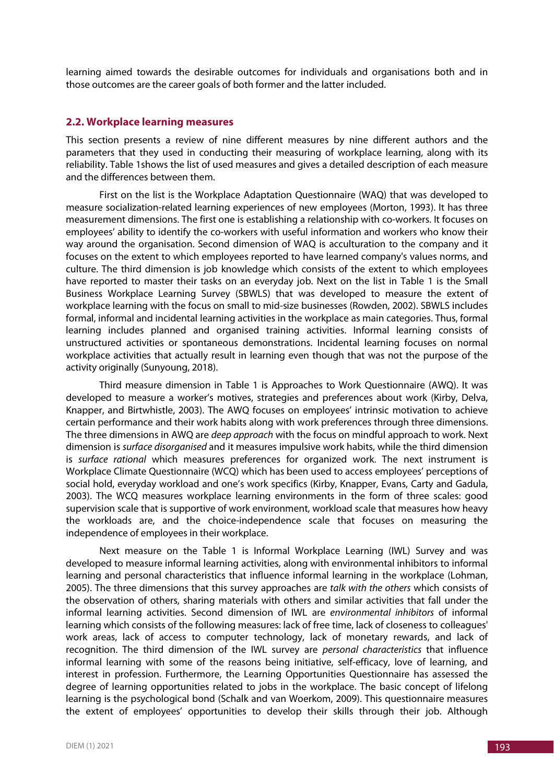learning aimed towards the desirable outcomes for individuals and organisations both and in those outcomes are the career goals of both former and the latter included.

#### **2.2. Workplace learning measures**

This section presents a review of nine different measures by nine different authors and the parameters that they used in conducting their measuring of workplace learning, along with its reliability. Table 1shows the list of used measures and gives a detailed description of each measure and the differences between them.

First on the list is the Workplace Adaptation Questionnaire (WAQ) that was developed to measure socialization-related learning experiences of new employees (Morton, 1993). It has three measurement dimensions. The first one is establishing a relationship with co-workers. It focuses on employees' ability to identify the co-workers with useful information and workers who know their way around the organisation. Second dimension of WAQ is acculturation to the company and it focuses on the extent to which employees reported to have learned company's values norms, and culture. The third dimension is job knowledge which consists of the extent to which employees have reported to master their tasks on an everyday job. Next on the list in Table 1 is the Small Business Workplace Learning Survey (SBWLS) that was developed to measure the extent of workplace learning with the focus on small to mid-size businesses (Rowden, 2002). SBWLS includes formal, informal and incidental learning activities in the workplace as main categories. Thus, formal learning includes planned and organised training activities. Informal learning consists of unstructured activities or spontaneous demonstrations. Incidental learning focuses on normal workplace activities that actually result in learning even though that was not the purpose of the activity originally (Sunyoung, 2018).

Third measure dimension in Table 1 is Approaches to Work Questionnaire (AWQ). It was developed to measure a worker's motives, strategies and preferences about work (Kirby, Delva, Knapper, and Birtwhistle, 2003). The AWQ focuses on employees' intrinsic motivation to achieve certain performance and their work habits along with work preferences through three dimensions. The three dimensions in AWQ are *deep approach* with the focus on mindful approach to work. Next dimension is *surface disorganised* and it measures impulsive work habits, while the third dimension is *surface rational* which measures preferences for organized work. The next instrument is Workplace Climate Questionnaire (WCQ) which has been used to access employees' perceptions of social hold, everyday workload and one's work specifics (Kirby, Knapper, Evans, Carty and Gadula, 2003). The WCQ measures workplace learning environments in the form of three scales: good supervision scale that is supportive of work environment, workload scale that measures how heavy the workloads are, and the choice-independence scale that focuses on measuring the independence of employees in their workplace.

Next measure on the Table 1 is Informal Workplace Learning (IWL) Survey and was developed to measure informal learning activities, along with environmental inhibitors to informal learning and personal characteristics that influence informal learning in the workplace (Lohman, 2005). The three dimensions that this survey approaches are *talk with the others* which consists of the observation of others, sharing materials with others and similar activities that fall under the informal learning activities. Second dimension of IWL are *environmental inhibitors* of informal learning which consists of the following measures: lack of free time, lack of closeness to colleagues' work areas, lack of access to computer technology, lack of monetary rewards, and lack of recognition. The third dimension of the IWL survey are *personal characteristics* that influence informal learning with some of the reasons being initiative, self-efficacy, love of learning, and interest in profession. Furthermore, the Learning Opportunities Questionnaire has assessed the degree of learning opportunities related to jobs in the workplace. The basic concept of lifelong learning is the psychological bond (Schalk and van Woerkom, 2009). This questionnaire measures the extent of employees' opportunities to develop their skills through their job. Although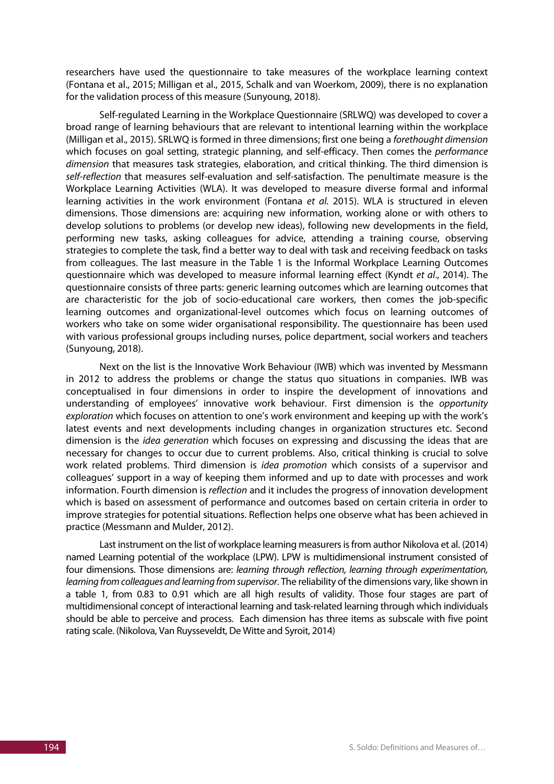researchers have used the questionnaire to take measures of the workplace learning context (Fontana et al., 2015; Milligan et al., 2015, Schalk and van Woerkom, 2009), there is no explanation for the validation process of this measure (Sunyoung, 2018).

Self-regulated Learning in the Workplace Questionnaire (SRLWQ) was developed to cover a broad range of learning behaviours that are relevant to intentional learning within the workplace (Milligan et al., 2015). SRLWQ is formed in three dimensions; first one being a *forethought dimension* which focuses on goal setting, strategic planning, and self-efficacy. Then comes the *performance dimension* that measures task strategies, elaboration, and critical thinking. The third dimension is *self-reflection* that measures self-evaluation and self-satisfaction. The penultimate measure is the Workplace Learning Activities (WLA). It was developed to measure diverse formal and informal learning activities in the work environment (Fontana *et al.* 2015). WLA is structured in eleven dimensions. Those dimensions are: acquiring new information, working alone or with others to develop solutions to problems (or develop new ideas), following new developments in the field, performing new tasks, asking colleagues for advice, attending a training course, observing strategies to complete the task, find a better way to deal with task and receiving feedback on tasks from colleagues. The last measure in the Table 1 is the Informal Workplace Learning Outcomes questionnaire which was developed to measure informal learning effect (Kyndt *et al*., 2014). The questionnaire consists of three parts: generic learning outcomes which are learning outcomes that are characteristic for the job of socio-educational care workers, then comes the job-specific learning outcomes and organizational-level outcomes which focus on learning outcomes of workers who take on some wider organisational responsibility. The questionnaire has been used with various professional groups including nurses, police department, social workers and teachers (Sunyoung, 2018).

Next on the list is the Innovative Work Behaviour (IWB) which was invented by Messmann in 2012 to address the problems or change the status quo situations in companies. IWB was conceptualised in four dimensions in order to inspire the development of innovations and understanding of employees' innovative work behaviour. First dimension is the *opportunity exploration* which focuses on attention to one's work environment and keeping up with the work's latest events and next developments including changes in organization structures etc. Second dimension is the *idea generation* which focuses on expressing and discussing the ideas that are necessary for changes to occur due to current problems. Also, critical thinking is crucial to solve work related problems. Third dimension is *idea promotion* which consists of a supervisor and colleagues' support in a way of keeping them informed and up to date with processes and work information. Fourth dimension is *reflection* and it includes the progress of innovation development which is based on assessment of performance and outcomes based on certain criteria in order to improve strategies for potential situations. Reflection helps one observe what has been achieved in practice (Messmann and Mulder, 2012).

Last instrument on the list of workplace learning measurers is from author Nikolova et al. (2014) named Learning potential of the workplace (LPW). LPW is multidimensional instrument consisted of four dimensions. Those dimensions are: *learning through reflection, learning through experimentation, learning from colleagues and learning from supervisor*. The reliability of the dimensions vary, like shown in a table 1, from 0.83 to 0.91 which are all high results of validity. Those four stages are part of multidimensional concept of interactional learning and task-related learning through which individuals should be able to perceive and process. Each dimension has three items as subscale with five point rating scale. (Nikolova, Van Ruysseveldt, De Witte and Syroit, 2014)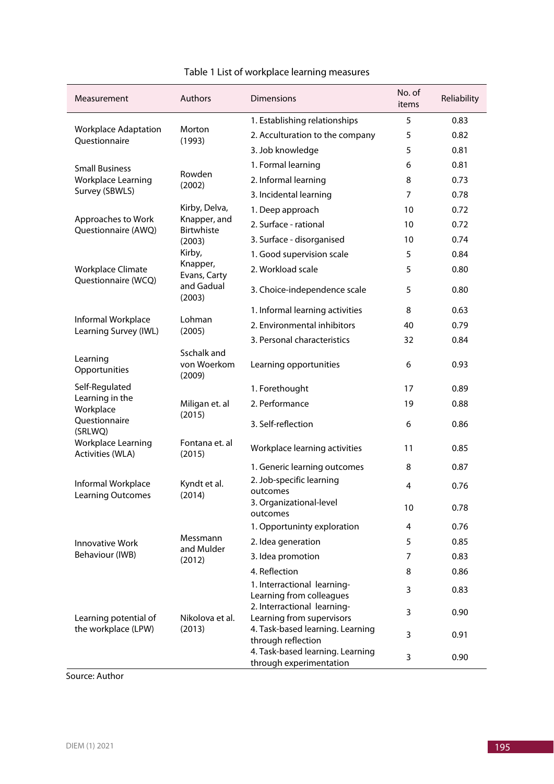| Measurement                                                                               | Authors                                                       | <b>Dimensions</b>                                           | No. of<br>items | Reliability |
|-------------------------------------------------------------------------------------------|---------------------------------------------------------------|-------------------------------------------------------------|-----------------|-------------|
| <b>Workplace Adaptation</b><br>Questionnaire                                              | Morton<br>(1993)                                              | 1. Establishing relationships                               | 5               | 0.83        |
|                                                                                           |                                                               | 2. Acculturation to the company                             | 5               | 0.82        |
|                                                                                           |                                                               | 3. Job knowledge                                            | 5               | 0.81        |
| <b>Small Business</b>                                                                     | Rowden<br>(2002)                                              | 1. Formal learning                                          | 6               | 0.81        |
| Workplace Learning<br>Survey (SBWLS)                                                      |                                                               | 2. Informal learning                                        | 8               | 0.73        |
|                                                                                           |                                                               | 3. Incidental learning                                      | 7               | 0.78        |
| Approaches to Work<br>Questionnaire (AWQ)                                                 | Kirby, Delva,<br>Knapper, and<br>Birtwhiste<br>(2003)         | 1. Deep approach                                            | 10              | 0.72        |
|                                                                                           |                                                               | 2. Surface - rational                                       | 10              | 0.72        |
|                                                                                           |                                                               | 3. Surface - disorganised                                   | 10              | 0.74        |
| <b>Workplace Climate</b><br>Questionnaire (WCQ)                                           | Kirby,<br>Knapper,<br>Evans, Carty<br>and Gadual<br>(2003)    | 1. Good supervision scale                                   | 5               | 0.84        |
|                                                                                           |                                                               | 2. Workload scale                                           | 5               | 0.80        |
|                                                                                           |                                                               | 3. Choice-independence scale                                | 5               | 0.80        |
|                                                                                           | Lohman<br>(2005)                                              | 1. Informal learning activities                             | 8               | 0.63        |
| Informal Workplace<br>Learning Survey (IWL)                                               |                                                               | 2. Environmental inhibitors                                 | 40              | 0.79        |
|                                                                                           |                                                               | 3. Personal characteristics                                 | 32              | 0.84        |
| Learning<br>Opportunities                                                                 | Sschalk and<br>von Woerkom<br>(2009)                          | Learning opportunities                                      | 6               | 0.93        |
| Self-Regulated                                                                            |                                                               | 1. Forethought                                              | 17              | 0.89        |
| Learning in the<br>Workplace<br>Questionnaire<br>(SRLWQ)                                  | Miligan et. al<br>(2015)                                      | 2. Performance                                              | 19              | 0.88        |
|                                                                                           |                                                               | 3. Self-reflection                                          | 6               | 0.86        |
| <b>Workplace Learning</b><br>Activities (WLA)                                             | Fontana et. al<br>(2015)                                      | Workplace learning activities                               | 11              | 0.85        |
|                                                                                           |                                                               | 1. Generic learning outcomes                                | 8               | 0.87        |
| Informal Workplace<br>Learning Outcomes                                                   | Kyndt et al.<br>(2014)                                        | 2. Job-specific learning<br>outcomes                        | 4               | 0.76        |
|                                                                                           |                                                               | 3. Organizational-level<br>outcomes                         | 10              | 0.78        |
|                                                                                           | Messmann<br>and Mulder<br>(2012)<br>Nikolova et al.<br>(2013) | 1. Opportuninty exploration                                 | 4               | 0.76        |
| <b>Innovative Work</b><br>Behaviour (IWB)<br>Learning potential of<br>the workplace (LPW) |                                                               | 2. Idea generation                                          | 5               | 0.85        |
|                                                                                           |                                                               | 3. Idea promotion                                           | $\overline{7}$  | 0.83        |
|                                                                                           |                                                               | 4. Reflection                                               | 8               | 0.86        |
|                                                                                           |                                                               | 1. Interractional learning-<br>Learning from colleagues     | 3               | 0.83        |
|                                                                                           |                                                               | 2. Interractional learning-<br>Learning from supervisors    | 3               | 0.90        |
|                                                                                           |                                                               | 4. Task-based learning. Learning<br>through reflection      | 3               | 0.91        |
|                                                                                           |                                                               | 4. Task-based learning. Learning<br>through experimentation | 3               | 0.90        |

# Table 1 List of workplace learning measures

Source: Author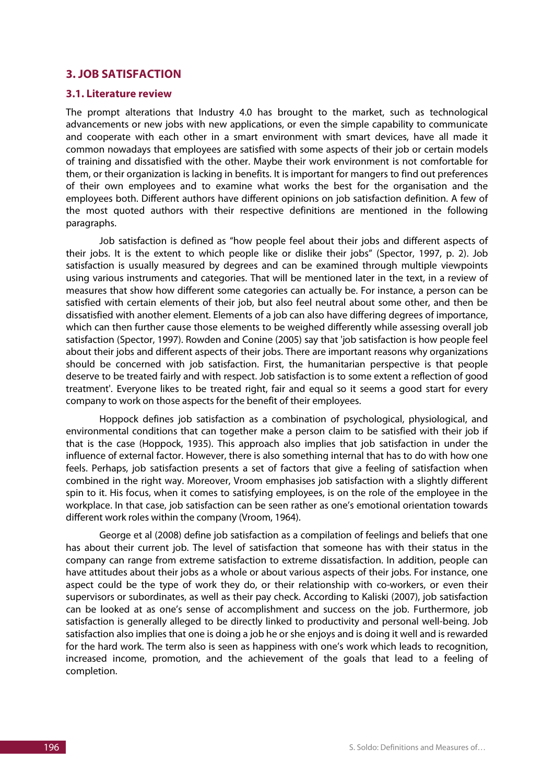### **3. JOB SATISFACTION**

#### **3.1. Literature review**

The prompt alterations that Industry 4.0 has brought to the market, such as technological advancements or new jobs with new applications, or even the simple capability to communicate and cooperate with each other in a smart environment with smart devices, have all made it common nowadays that employees are satisfied with some aspects of their job or certain models of training and dissatisfied with the other. Maybe their work environment is not comfortable for them, or their organization is lacking in benefits. It is important for mangers to find out preferences of their own employees and to examine what works the best for the organisation and the employees both. Different authors have different opinions on job satisfaction definition. A few of the most quoted authors with their respective definitions are mentioned in the following paragraphs.

Job satisfaction is defined as "how people feel about their jobs and different aspects of their jobs. It is the extent to which people like or dislike their jobs" (Spector, 1997, p. 2). Job satisfaction is usually measured by degrees and can be examined through multiple viewpoints using various instruments and categories. That will be mentioned later in the text, in a review of measures that show how different some categories can actually be. For instance, a person can be satisfied with certain elements of their job, but also feel neutral about some other, and then be dissatisfied with another element. Elements of a job can also have differing degrees of importance, which can then further cause those elements to be weighed differently while assessing overall job satisfaction (Spector, 1997). Rowden and Conine (2005) say that 'job satisfaction is how people feel about their jobs and different aspects of their jobs. There are important reasons why organizations should be concerned with job satisfaction. First, the humanitarian perspective is that people deserve to be treated fairly and with respect. Job satisfaction is to some extent a reflection of good treatment'. Everyone likes to be treated right, fair and equal so it seems a good start for every company to work on those aspects for the benefit of their employees.

Hoppock defines job satisfaction as a combination of psychological, physiological, and environmental conditions that can together make a person claim to be satisfied with their job if that is the case (Hoppock, 1935). This approach also implies that job satisfaction in under the influence of external factor. However, there is also something internal that has to do with how one feels. Perhaps, job satisfaction presents a set of factors that give a feeling of satisfaction when combined in the right way. Moreover, Vroom emphasises job satisfaction with a slightly different spin to it. His focus, when it comes to satisfying employees, is on the role of the employee in the workplace. In that case, job satisfaction can be seen rather as one's emotional orientation towards different work roles within the company (Vroom, 1964).

George et al (2008) define job satisfaction as a compilation of feelings and beliefs that one has about their current job. The level of satisfaction that someone has with their status in the company can range from extreme satisfaction to extreme dissatisfaction. In addition, people can have attitudes about their jobs as a whole or about various aspects of their jobs. For instance, one aspect could be the type of work they do, or their relationship with co-workers, or even their supervisors or subordinates, as well as their pay check. According to Kaliski (2007), job satisfaction can be looked at as one's sense of accomplishment and success on the job. Furthermore, job satisfaction is generally alleged to be directly linked to productivity and personal well-being. Job satisfaction also implies that one is doing a job he or she enjoys and is doing it well and is rewarded for the hard work. The term also is seen as happiness with one's work which leads to recognition, increased income, promotion, and the achievement of the goals that lead to a feeling of completion.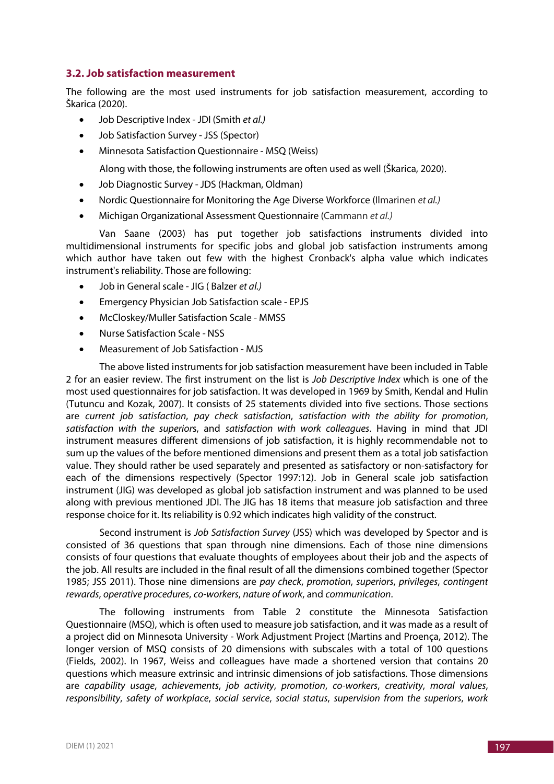#### **3.2. Job satisfaction measurement**

The following are the most used instruments for job satisfaction measurement, according to Škarica (2020).

- Job Descriptive Index JDI (Smith *et al.)*
- Job Satisfaction Survey JSS (Spector)
- Minnesota Satisfaction Questionnaire MSQ (Weiss)

Along with those, the following instruments are often used as well (Škarica, 2020).

- Job Diagnostic Survey JDS (Hackman, Oldman)
- Nordic Questionnaire for Monitoring the Age Diverse Workforce (Ilmarinen *et al.)*
- Michigan Organizational Assessment Questionnaire (Cammann *et al.)*

Van Saane (2003) has put together job satisfactions instruments divided into multidimensional instruments for specific jobs and global job satisfaction instruments among which author have taken out few with the highest Cronback's alpha value which indicates instrument's reliability. Those are following:

- Job in General scale JIG ( Balzer *et al.)*
- Emergency Physician Job Satisfaction scale EPJS
- McCloskey/Muller Satisfaction Scale MMSS
- Nurse Satisfaction Scale NSS
- Measurement of Job Satisfaction MJS

The above listed instruments for job satisfaction measurement have been included in Table 2 for an easier review. The first instrument on the list is *Job Descriptive Index* which is one of the most used questionnaires for job satisfaction. It was developed in 1969 by Smith, Kendal and Hulin (Tutuncu and Kozak, 2007). It consists of 25 statements divided into five sections. Those sections are *current job satisfaction*, *pay check satisfaction*, *satisfaction with the ability for promotion*, *satisfaction with the superior*s, and *satisfaction with work colleagues*. Having in mind that JDI instrument measures different dimensions of job satisfaction, it is highly recommendable not to sum up the values of the before mentioned dimensions and present them as a total job satisfaction value. They should rather be used separately and presented as satisfactory or non-satisfactory for each of the dimensions respectively (Spector 1997:12). Job in General scale job satisfaction instrument (JIG) was developed as global job satisfaction instrument and was planned to be used along with previous mentioned JDI. The JIG has 18 items that measure job satisfaction and three response choice for it. Its reliability is 0.92 which indicates high validity of the construct.

Second instrument is *Job Satisfaction Survey* (JSS) which was developed by Spector and is consisted of 36 questions that span through nine dimensions. Each of those nine dimensions consists of four questions that evaluate thoughts of employees about their job and the aspects of the job. All results are included in the final result of all the dimensions combined together (Spector 1985; JSS 2011). Those nine dimensions are *pay check*, *promotion*, *superiors*, *privileges*, *contingent rewards*, *operative procedures*, *co-workers*, *nature of work*, and *communication*.

The following instruments from Table 2 constitute the Minnesota Satisfaction Questionnaire (MSQ), which is often used to measure job satisfaction, and it was made as a result of a project did on Minnesota University - Work Adjustment Project (Martins and Proença, 2012). The longer version of MSQ consists of 20 dimensions with subscales with a total of 100 questions (Fields, 2002). In 1967, Weiss and colleagues have made a shortened version that contains 20 questions which measure extrinsic and intrinsic dimensions of job satisfactions. Those dimensions are *capability usage*, *achievements*, *job activity*, *promotion*, *co-workers*, *creativity*, *moral values*, *responsibility*, *safety of workplace*, *social service*, *social status*, *supervision from the superiors*, *work*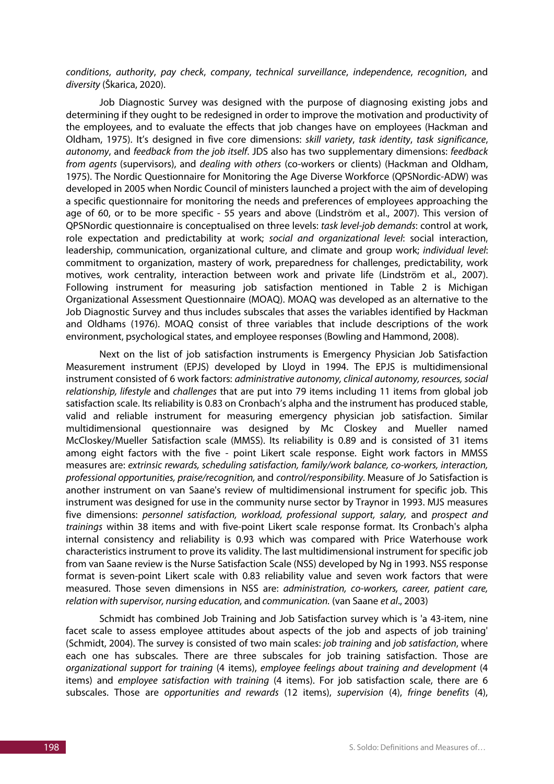*conditions*, *authority*, *pay check*, *company*, *technical surveillance*, *independence*, *recognition*, and *diversity* (Škarica, 2020).

Job Diagnostic Survey was designed with the purpose of diagnosing existing jobs and determining if they ought to be redesigned in order to improve the motivation and productivity of the employees, and to evaluate the effects that job changes have on employees (Hackman and Oldham, 1975). It's designed in five core dimensions: *skill variety*, *task identity*, *task significance*, *autonomy*, and *feedback from the job itself*. JDS also has two supplementary dimensions: *feedback from agents* (supervisors), and *dealing with others* (co-workers or clients) (Hackman and Oldham, 1975). The Nordic Questionnaire for Monitoring the Age Diverse Workforce (QPSNordic-ADW) was developed in 2005 when Nordic Council of ministers launched a project with the aim of developing a specific questionnaire for monitoring the needs and preferences of employees approaching the age of 60, or to be more specific - 55 years and above (Lindström et al., 2007). This version of QPSNordic questionnaire is conceptualised on three levels: *task level-job demands*: control at work, role expectation and predictability at work; *social and organizational level*: social interaction, leadership, communication, organizational culture, and climate and group work; *individual level*: commitment to organization, mastery of work, preparedness for challenges, predictability, work motives, work centrality, interaction between work and private life (Lindström et al., 2007). Following instrument for measuring job satisfaction mentioned in Table 2 is Michigan Organizational Assessment Questionnaire (MOAQ). MOAQ was developed as an alternative to the Job Diagnostic Survey and thus includes subscales that asses the variables identified by Hackman and Oldhams (1976). MOAQ consist of three variables that include descriptions of the work environment, psychological states, and employee responses (Bowling and Hammond, 2008).

Next on the list of job satisfaction instruments is Emergency Physician Job Satisfaction Measurement instrument (EPJS) developed by Lloyd in 1994. The EPJS is multidimensional instrument consisted of 6 work factors: *administrative autonomy, clinical autonomy, resources, social relationship, lifestyle* and *challenges* that are put into 79 items including 11 items from global job satisfaction scale. Its reliability is 0.83 on Cronbach's alpha and the instrument has produced stable, valid and reliable instrument for measuring emergency physician job satisfaction. Similar multidimensional questionnaire was designed by Mc Closkey and Mueller named McCloskey/Mueller Satisfaction scale (MMSS). Its reliability is 0.89 and is consisted of 31 items among eight factors with the five - point Likert scale response. Eight work factors in MMSS measures are: *extrinsic rewards, scheduling satisfaction, family/work balance, co-workers, interaction, professional opportunities, praise/recognition,* and *control/responsibility.* Measure of Jo Satisfaction is another instrument on van Saane's review of multidimensional instrument for specific job. This instrument was designed for use in the community nurse sector by Traynor in 1993. MJS measures five dimensions: *personnel satisfaction, workload, professional support, salary,* and *prospect and trainings* within 38 items and with five-point Likert scale response format. Its Cronbach's alpha internal consistency and reliability is 0.93 which was compared with Price Waterhouse work characteristics instrument to prove its validity. The last multidimensional instrument for specific job from van Saane review is the Nurse Satisfaction Scale (NSS) developed by Ng in 1993. NSS response format is seven-point Likert scale with 0.83 reliability value and seven work factors that were measured. Those seven dimensions in NSS are: *administration, co-workers, career, patient care, relation with supervisor, nursing education,* and *communication.* (van Saane *et al*., 2003)

Schmidt has combined Job Training and Job Satisfaction survey which is 'a 43-item, nine facet scale to assess employee attitudes about aspects of the job and aspects of job training' (Schmidt, 2004). The survey is consisted of two main scales: *job training* and *job satisfaction*, where each one has subscales. There are three subscales for job training satisfaction. Those are *organizational support for training* (4 items), *employee feelings about training and development* (4 items) and *employee satisfaction with training* (4 items). For job satisfaction scale, there are 6 subscales. Those are *opportunities and rewards* (12 items), *supervision* (4), *fringe benefits* (4),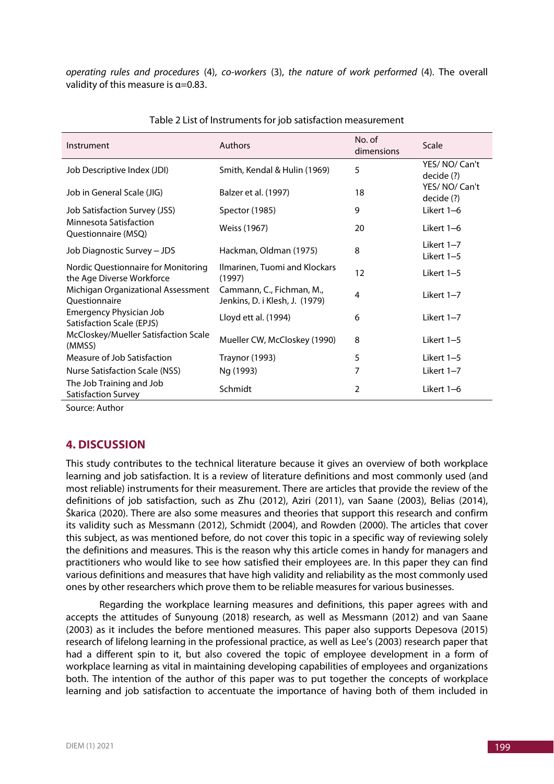*operating rules and procedures* (4), *co-workers* (3), *the nature of work performed* (4). The overall validity of this measure is  $\alpha$ =0.83.

| Instrument                                                       | Authors                                                     | No. of<br>dimensions | Scale                      |  |
|------------------------------------------------------------------|-------------------------------------------------------------|----------------------|----------------------------|--|
| Job Descriptive Index (JDI)                                      | Smith, Kendal & Hulin (1969)                                | 5                    | YES/NO/Can't<br>decide (?) |  |
| Job in General Scale (JIG)                                       | Balzer et al. (1997)                                        | 18                   | YES/NO/Can't<br>decide (?) |  |
| <b>Job Satisfaction Survey (JSS)</b>                             | Spector (1985)                                              | 9                    | Likert 1-6                 |  |
| Minnesota Satisfaction<br>Questionnaire (MSQ)                    | Weiss (1967)                                                | 20                   | Likert 1–6                 |  |
| Job Diagnostic Survey - JDS                                      | Hackman, Oldman (1975)                                      | 8                    | Likert 1-7<br>Likert 1-5   |  |
| Nordic Questionnaire for Monitoring<br>the Age Diverse Workforce | Ilmarinen, Tuomi and Klockars<br>(1997)                     | 12                   | Likert 1-5                 |  |
| Michigan Organizational Assessment<br>Questionnaire              | Cammann, C., Fichman, M.,<br>Jenkins, D. i Klesh, J. (1979) | 4                    | Likert 1-7                 |  |
| <b>Emergency Physician Job</b><br>Satisfaction Scale (EPJS)      | Lloyd ett al. (1994)                                        | 6                    | Likert 1-7                 |  |
| McCloskey/Mueller Satisfaction Scale<br>(MMSS)                   | Mueller CW, McCloskey (1990)                                | 8                    | Likert 1-5                 |  |
| Measure of Job Satisfaction                                      | <b>Traynor (1993)</b>                                       | 5                    | Likert 1-5                 |  |
| Nurse Satisfaction Scale (NSS)                                   | Ng (1993)                                                   | 7                    | Likert 1-7                 |  |
| The Job Training and Job<br>Satisfaction Survey                  | Schmidt                                                     | 2                    | Likert 1-6                 |  |

Table 2 List of Instruments for job satisfaction measurement

Source: Author

# **4. DISCUSSION**

This study contributes to the technical literature because it gives an overview of both workplace learning and job satisfaction. It is a review of literature definitions and most commonly used (and most reliable) instruments for their measurement. There are articles that provide the review of the definitions of job satisfaction, such as Zhu (2012), Aziri (2011), van Saane (2003), Belias (2014), Škarica (2020). There are also some measures and theories that support this research and confirm its validity such as Messmann (2012), Schmidt (2004), and Rowden (2000). The articles that cover this subject, as was mentioned before, do not cover this topic in a specific way of reviewing solely the definitions and measures. This is the reason why this article comes in handy for managers and practitioners who would like to see how satisfied their employees are. In this paper they can find various definitions and measures that have high validity and reliability as the most commonly used ones by other researchers which prove them to be reliable measures for various businesses.

Regarding the workplace learning measures and definitions, this paper agrees with and accepts the attitudes of Sunyoung (2018) research, as well as Messmann (2012) and van Saane (2003) as it includes the before mentioned measures. This paper also supports Depesova (2015) research of lifelong learning in the professional practice, as well as Lee's (2003) research paper that had a different spin to it, but also covered the topic of employee development in a form of workplace learning as vital in maintaining developing capabilities of employees and organizations both. The intention of the author of this paper was to put together the concepts of workplace learning and job satisfaction to accentuate the importance of having both of them included in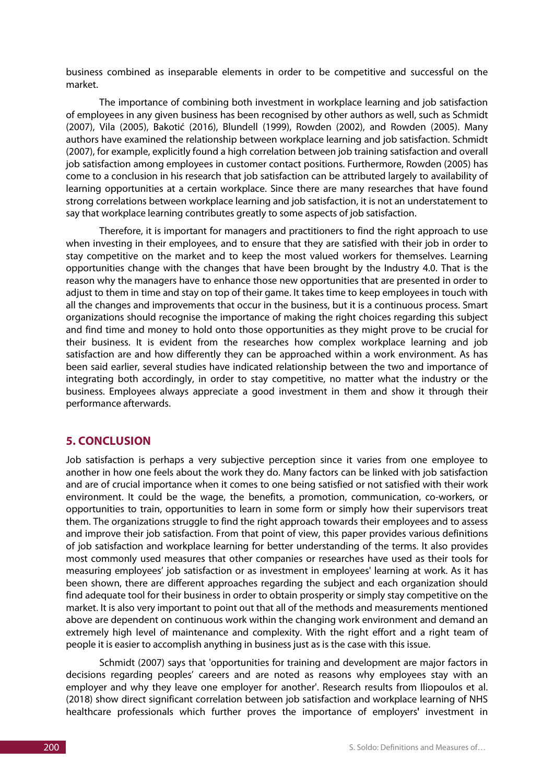business combined as inseparable elements in order to be competitive and successful on the market.

The importance of combining both investment in workplace learning and job satisfaction of employees in any given business has been recognised by other authors as well, such as Schmidt (2007), Vila (2005), Bakotić (2016), Blundell (1999), Rowden (2002), and Rowden (2005). Many authors have examined the relationship between workplace learning and job satisfaction. Schmidt (2007), for example, explicitly found a high correlation between job training satisfaction and overall job satisfaction among employees in customer contact positions. Furthermore, Rowden (2005) has come to a conclusion in his research that job satisfaction can be attributed largely to availability of learning opportunities at a certain workplace. Since there are many researches that have found strong correlations between workplace learning and job satisfaction, it is not an understatement to say that workplace learning contributes greatly to some aspects of job satisfaction.

Therefore, it is important for managers and practitioners to find the right approach to use when investing in their employees, and to ensure that they are satisfied with their job in order to stay competitive on the market and to keep the most valued workers for themselves. Learning opportunities change with the changes that have been brought by the Industry 4.0. That is the reason why the managers have to enhance those new opportunities that are presented in order to adjust to them in time and stay on top of their game. It takes time to keep employees in touch with all the changes and improvements that occur in the business, but it is a continuous process. Smart organizations should recognise the importance of making the right choices regarding this subject and find time and money to hold onto those opportunities as they might prove to be crucial for their business. It is evident from the researches how complex workplace learning and job satisfaction are and how differently they can be approached within a work environment. As has been said earlier, several studies have indicated relationship between the two and importance of integrating both accordingly, in order to stay competitive, no matter what the industry or the business. Employees always appreciate a good investment in them and show it through their performance afterwards.

#### **5. CONCLUSION**

Job satisfaction is perhaps a very subjective perception since it varies from one employee to another in how one feels about the work they do. Many factors can be linked with job satisfaction and are of crucial importance when it comes to one being satisfied or not satisfied with their work environment. It could be the wage, the benefits, a promotion, communication, co-workers, or opportunities to train, opportunities to learn in some form or simply how their supervisors treat them. The organizations struggle to find the right approach towards their employees and to assess and improve their job satisfaction. From that point of view, this paper provides various definitions of job satisfaction and workplace learning for better understanding of the terms. It also provides most commonly used measures that other companies or researches have used as their tools for measuring employees' job satisfaction or as investment in employees' learning at work. As it has been shown, there are different approaches regarding the subject and each organization should find adequate tool for their business in order to obtain prosperity or simply stay competitive on the market. It is also very important to point out that all of the methods and measurements mentioned above are dependent on continuous work within the changing work environment and demand an extremely high level of maintenance and complexity. With the right effort and a right team of people it is easier to accomplish anything in business just as is the case with this issue.

Schmidt (2007) says that 'opportunities for training and development are major factors in decisions regarding peoples' careers and are noted as reasons why employees stay with an employer and why they leave one employer for another'. Research results from Iliopoulos et al. (2018) show direct significant correlation between job satisfaction and workplace learning of NHS healthcare professionals which further proves the importance of employers' investment in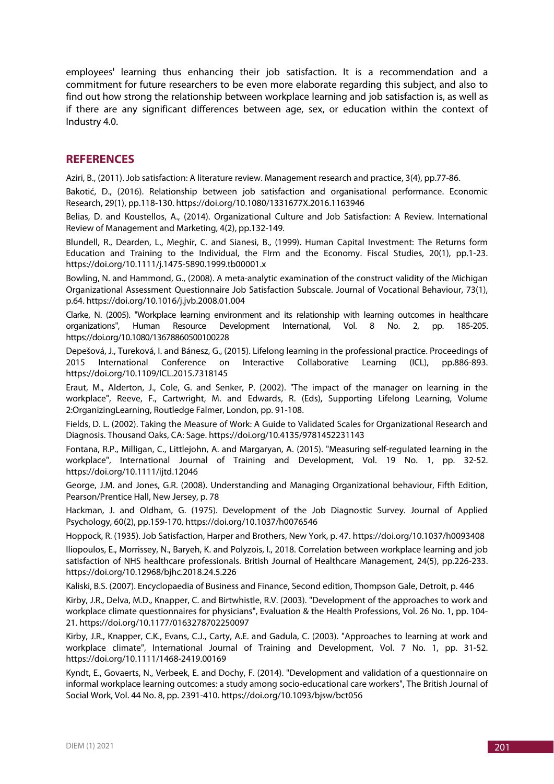employees' learning thus enhancing their job satisfaction. It is a recommendation and a commitment for future researchers to be even more elaborate regarding this subject, and also to find out how strong the relationship between workplace learning and job satisfaction is, as well as if there are any significant differences between age, sex, or education within the context of Industry 4.0.

## **REFERENCES**

Aziri, B., (2011). Job satisfaction: A literature review. Management research and practice, 3(4), pp.77-86.

Bakotić, D., (2016). Relationship between job satisfaction and organisational performance. Economic Research, 29(1), pp.118-130. https://doi.org/10.1080/1331677X.2016.1163946

Belias, D. and Koustellos, A., (2014). Organizational Culture and Job Satisfaction: A Review. International Review of Management and Marketing, 4(2), pp.132-149.

Blundell, R., Dearden, L., Meghir, C. and Sianesi, B., (1999). Human Capital Investment: The Returns form Education and Training to the Individual, the FIrm and the Economy. Fiscal Studies, 20(1), pp.1-23. https://doi.org/10.1111/j.1475-5890.1999.tb00001.x

Bowling, N. and Hammond, G., (2008). A meta-analytic examination of the construct validity of the Michigan Organizational Assessment Questionnaire Job Satisfaction Subscale. Journal of Vocational Behaviour, 73(1), p.64. https://doi.org/10.1016/j.jvb.2008.01.004

Clarke, N. (2005). "Workplace learning environment and its relationship with learning outcomes in healthcare organizations", Human Resource Development International, Vol. 8 No. 2, pp. 185-205. https://doi.org/10.1080/13678860500100228

Depešová, J., Tureková, I. and Bánesz, G., (2015). Lifelong learning in the professional practice. Proceedings of 2015 International Conference on Interactive Collaborative Learning (ICL), pp.886-893. https://doi.org/10.1109/ICL.2015.7318145

Eraut, M., Alderton, J., Cole, G. and Senker, P. (2002). "The impact of the manager on learning in the workplace", Reeve, F., Cartwright, M. and Edwards, R. (Eds), Supporting Lifelong Learning, Volume 2:OrganizingLearning, Routledge Falmer, London, pp. 91-108.

Fields, D. L. (2002). Taking the Measure of Work: A Guide to Validated Scales for Organizational Research and Diagnosis. Thousand Oaks, CA: Sage. https://doi.org/10.4135/9781452231143

Fontana, R.P., Milligan, C., Littlejohn, A. and Margaryan, A. (2015). "Measuring self-regulated learning in the workplace", International Journal of Training and Development, Vol. 19 No. 1, pp. 32-52. https://doi.org/10.1111/ijtd.12046

George, J.M. and Jones, G.R. (2008). Understanding and Managing Organizational behaviour, Fifth Edition, Pearson/Prentice Hall, New Jersey, p. 78

Hackman, J. and Oldham, G. (1975). Development of the Job Diagnostic Survey. Journal of Applied Psychology, 60(2), pp.159-170. https://doi.org/10.1037/h0076546

Hoppock, R. (1935). Job Satisfaction, Harper and Brothers, New York, p. 47. https://doi.org/10.1037/h0093408

Iliopoulos, E., Morrissey, N., Baryeh, K. and Polyzois, I., 2018. Correlation between workplace learning and job satisfaction of NHS healthcare professionals. British Journal of Healthcare Management, 24(5), pp.226-233. https://doi.org/10.12968/bjhc.2018.24.5.226

Kaliski, B.S. (2007). Encyclopaedia of Business and Finance, Second edition, Thompson Gale, Detroit, p. 446

Kirby, J.R., Delva, M.D., Knapper, C. and Birtwhistle, R.V. (2003). "Development of the approaches to work and workplace climate questionnaires for physicians", Evaluation & the Health Professions, Vol. 26 No. 1, pp. 104- 21. https://doi.org/10.1177/0163278702250097

Kirby, J.R., Knapper, C.K., Evans, C.J., Carty, A.E. and Gadula, C. (2003). "Approaches to learning at work and workplace climate", International Journal of Training and Development, Vol. 7 No. 1, pp. 31-52. https://doi.org/10.1111/1468-2419.00169

Kyndt, E., Govaerts, N., Verbeek, E. and Dochy, F. (2014). "Development and validation of a questionnaire on informal workplace learning outcomes: a study among socio-educational care workers", The British Journal of Social Work, Vol. 44 No. 8, pp. 2391-410. https://doi.org/10.1093/bjsw/bct056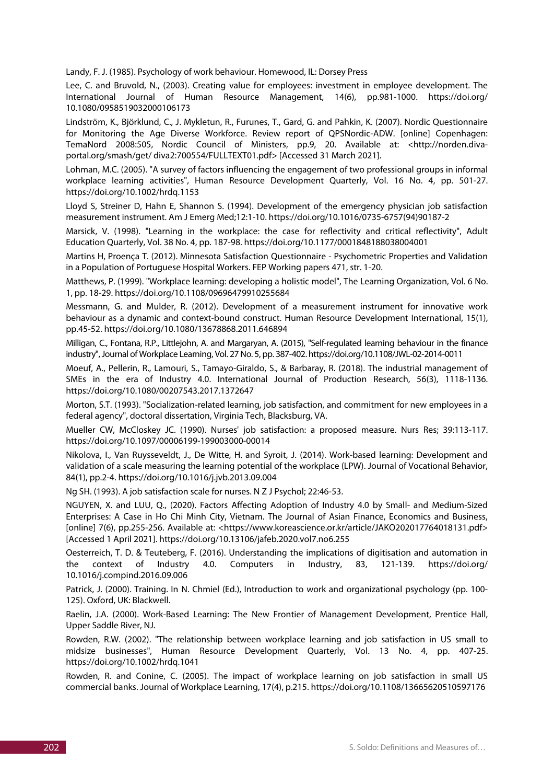Landy, F. J. (1985). Psychology of work behaviour. Homewood, IL: Dorsey Press

Lee, C. and Bruvold, N., (2003). Creating value for employees: investment in employee development. The International Journal of Human Resource Management, 14(6), pp.981-1000. https://doi.org/ 10.1080/0958519032000106173

Lindström, K., Björklund, C., J. Mykletun, R., Furunes, T., Gard, G. and Pahkin, K. (2007). Nordic Questionnaire for Monitoring the Age Diverse Workforce. Review report of QPSNordic-ADW. [online] Copenhagen: TemaNord 2008:505, Nordic Council of Ministers, pp.9, 20. Available at: <http://norden.divaportal.org/smash/get/ diva2:700554/FULLTEXT01.pdf> [Accessed 31 March 2021].

Lohman, M.C. (2005). "A survey of factors influencing the engagement of two professional groups in informal workplace learning activities", Human Resource Development Quarterly, Vol. 16 No. 4, pp. 501-27. https://doi.org/10.1002/hrdq.1153

Lloyd S, Streiner D, Hahn E, Shannon S. (1994). Development of the emergency physician job satisfaction measurement instrument. Am J Emerg Med;12:1-10. https://doi.org/10.1016/0735-6757(94)90187-2

Marsick, V. (1998). "Learning in the workplace: the case for reflectivity and critical reflectivity", Adult Education Quarterly, Vol. 38 No. 4, pp. 187-98. https://doi.org/10.1177/0001848188038004001

Martins H, Proença T. (2012). Minnesota Satisfaction Questionnaire - Psychometric Properties and Validation in a Population of Portuguese Hospital Workers. FEP Working papers 471, str. 1-20.

Matthews, P. (1999). "Workplace learning: developing a holistic model", The Learning Organization, Vol. 6 No. 1, pp. 18-29. https://doi.org/10.1108/09696479910255684

Messmann, G. and Mulder, R. (2012). Development of a measurement instrument for innovative work behaviour as a dynamic and context-bound construct. Human Resource Development International, 15(1), pp.45-52. https://doi.org/10.1080/13678868.2011.646894

Milligan, C., Fontana, R.P., Littlejohn, A. and Margaryan, A. (2015), "Self-regulated learning behaviour in the finance industry", Journal of Workplace Learning, Vol. 27 No. 5, pp. 387-402. https://doi.org/10.1108/JWL-02-2014-0011

Moeuf, A., Pellerin, R., Lamouri, S., Tamayo-Giraldo, S., & Barbaray, R. (2018). The industrial management of SMEs in the era of Industry 4.0. International Journal of Production Research, 56(3), 1118-1136. https://doi.org/10.1080/00207543.2017.1372647

Morton, S.T. (1993). "Socialization-related learning, job satisfaction, and commitment for new employees in a federal agency", doctoral dissertation, Virginia Tech, Blacksburg, VA.

Mueller CW, McCloskey JC. (1990). Nurses' job satisfaction: a proposed measure. Nurs Res; 39:113-117. https://doi.org/10.1097/00006199-199003000-00014

Nikolova, I., Van Ruysseveldt, J., De Witte, H. and Syroit, J. (2014). Work-based learning: Development and validation of a scale measuring the learning potential of the workplace (LPW). Journal of Vocational Behavior, 84(1), pp.2-4. https://doi.org/10.1016/j.jvb.2013.09.004

Ng SH. (1993). A job satisfaction scale for nurses. N Z J Psychol; 22:46-53.

NGUYEN, X. and LUU, Q., (2020). Factors Affecting Adoption of Industry 4.0 by Small- and Medium-Sized Enterprises: A Case in Ho Chi Minh City, Vietnam. The Journal of Asian Finance, Economics and Business, [online] 7(6), pp.255-256. Available at: <https://www.koreascience.or.kr/article/JAKO202017764018131.pdf> [Accessed 1 April 2021]. https://doi.org/10.13106/jafeb.2020.vol7.no6.255

Oesterreich, T. D. & Teuteberg, F. (2016). Understanding the implications of digitisation and automation in the context of Industry 4.0. Computers in Industry, 83, 121-139. https://doi.org/ 10.1016/j.compind.2016.09.006

Patrick, J. (2000). Training. In N. Chmiel (Ed.), Introduction to work and organizational psychology (pp. 100- 125). Oxford, UK: Blackwell.

Raelin, J.A. (2000). Work-Based Learning: The New Frontier of Management Development, Prentice Hall, Upper Saddle River, NJ.

Rowden, R.W. (2002). "The relationship between workplace learning and job satisfaction in US small to midsize businesses", Human Resource Development Quarterly, Vol. 13 No. 4, pp. 407-25. https://doi.org/10.1002/hrdq.1041

Rowden, R. and Conine, C. (2005). The impact of workplace learning on job satisfaction in small US commercial banks. Journal of Workplace Learning, 17(4), p.215. https://doi.org/10.1108/13665620510597176